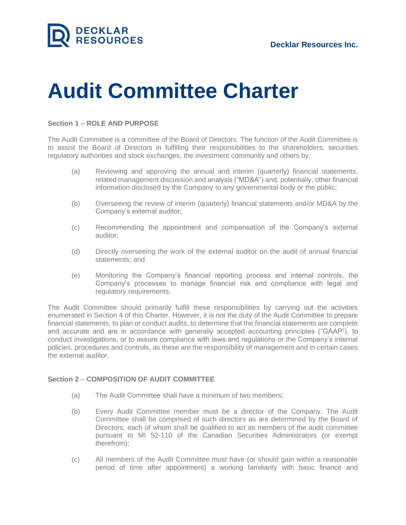

# **Audit Committee Charter**

#### **Section 1** – **ROLE AND PURPOSE**

The Audit Committee is a committee of the Board of Directors. The function of the Audit Committee is to assist the Board of Directors in fulfilling their responsibilities to the shareholders, securities regulatory authorities and stock exchanges, the investment community and others by:

- (a) Reviewing and approving the annual and interim (quarterly) financial statements, related management discussion and analysis ("MD&A") and, potentially, other financial information disclosed by the Company to any governmental body or the public;
- (b) Overseeing the review of interim (quarterly) financial statements and/or MD&A by the Company's external auditor;
- (c) Recommending the appointment and compensation of the Company's external auditor;
- (d) Directly overseeing the work of the external auditor on the audit of annual financial statements; and
- (e) Monitoring the Company's financial reporting process and internal controls, the Company's processes to manage financial risk and compliance with legal and regulatory requirements.

The Audit Committee should primarily fulfill these responsibilities by carrying out the activities enumerated in Section 4 of this Charter. However, it is not the duty of the Audit Committee to prepare financial statements, to plan or conduct audits, to determine that the financial statements are complete and accurate and are in accordance with generally accepted accounting principles ("GAAP"), to conduct investigations, or to assure compliance with laws and regulations or the Company's internal policies, procedures and controls, as these are the responsibility of management and in certain cases the external auditor.

## **Section 2** – **COMPOSITION OF AUDIT COMMITTEE**

- (a) The Audit Committee shall have a minimum of two members;
- (b) Every Audit Committee member must be a director of the Company. The Audit Committee shall be comprised of such directors as are determined by the Board of Directors, each of whom shall be qualified to act as members of the audit committee pursuant to MI 52-110 of the Canadian Securities Administrators (or exempt therefrom);
- (c) All members of the Audit Committee must have (or should gain within a reasonable period of time after appointment) a working familiarity with basic finance and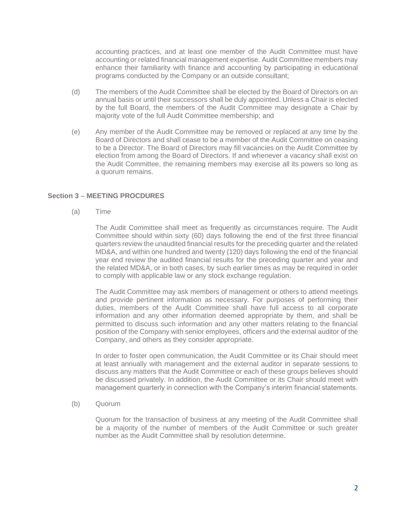accounting practices, and at least one member of the Audit Committee must have accounting or related financial management expertise. Audit Committee members may enhance their familiarity with finance and accounting by participating in educational programs conducted by the Company or an outside consultant;

- (d) The members of the Audit Committee shall be elected by the Board of Directors on an annual basis or until their successors shall be duly appointed. Unless a Chair is elected by the full Board, the members of the Audit Committee may designate a Chair by majority vote of the full Audit Committee membership; and
- (e) Any member of the Audit Committee may be removed or replaced at any time by the Board of Directors and shall cease to be a member of the Audit Committee on ceasing to be a Director. The Board of Directors may fill vacancies on the Audit Committee by election from among the Board of Directors. If and whenever a vacancy shall exist on the Audit Committee, the remaining members may exercise all its powers so long as a quorum remains.

## **Section 3** – **MEETING PROCDURES**

(a) Time

The Audit Committee shall meet as frequently as circumstances require. The Audit Committee should within sixty (60) days following the end of the first three financial quarters review the unaudited financial results for the preceding quarter and the related MD&A, and within one hundred and twenty (120) days following the end of the financial year end review the audited financial results for the preceding quarter and year and the related MD&A, or in both cases, by such earlier times as may be required in order to comply with applicable law or any stock exchange regulation.

The Audit Committee may ask members of management or others to attend meetings and provide pertinent information as necessary. For purposes of performing their duties, members of the Audit Committee shall have full access to all corporate information and any other information deemed appropriate by them, and shall be permitted to discuss such information and any other matters relating to the financial position of the Company with senior employees, officers and the external auditor of the Company, and others as they consider appropriate.

In order to foster open communication, the Audit Committee or its Chair should meet at least annually with management and the external auditor in separate sessions to discuss any matters that the Audit Committee or each of these groups believes should be discussed privately. In addition, the Audit Committee or its Chair should meet with management quarterly in connection with the Company's interim financial statements.

(b) Quorum

Quorum for the transaction of business at any meeting of the Audit Committee shall be a majority of the number of members of the Audit Committee or such greater number as the Audit Committee shall by resolution determine.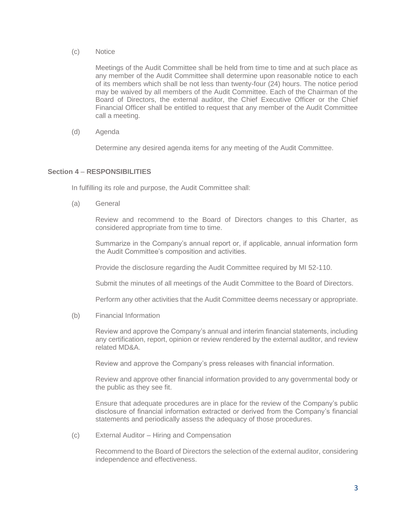(c) Notice

Meetings of the Audit Committee shall be held from time to time and at such place as any member of the Audit Committee shall determine upon reasonable notice to each of its members which shall be not less than twenty-four (24) hours. The notice period may be waived by all members of the Audit Committee. Each of the Chairman of the Board of Directors, the external auditor, the Chief Executive Officer or the Chief Financial Officer shall be entitled to request that any member of the Audit Committee call a meeting.

(d) Agenda

Determine any desired agenda items for any meeting of the Audit Committee.

## **Section 4** – **RESPONSIBILITIES**

In fulfilling its role and purpose, the Audit Committee shall:

(a) General

Review and recommend to the Board of Directors changes to this Charter, as considered appropriate from time to time.

Summarize in the Company's annual report or, if applicable, annual information form the Audit Committee's composition and activities.

Provide the disclosure regarding the Audit Committee required by MI 52-110.

Submit the minutes of all meetings of the Audit Committee to the Board of Directors.

Perform any other activities that the Audit Committee deems necessary or appropriate.

(b) Financial Information

Review and approve the Company's annual and interim financial statements, including any certification, report, opinion or review rendered by the external auditor, and review related MD&A.

Review and approve the Company's press releases with financial information.

Review and approve other financial information provided to any governmental body or the public as they see fit.

Ensure that adequate procedures are in place for the review of the Company's public disclosure of financial information extracted or derived from the Company's financial statements and periodically assess the adequacy of those procedures.

(c) External Auditor – Hiring and Compensation

Recommend to the Board of Directors the selection of the external auditor, considering independence and effectiveness.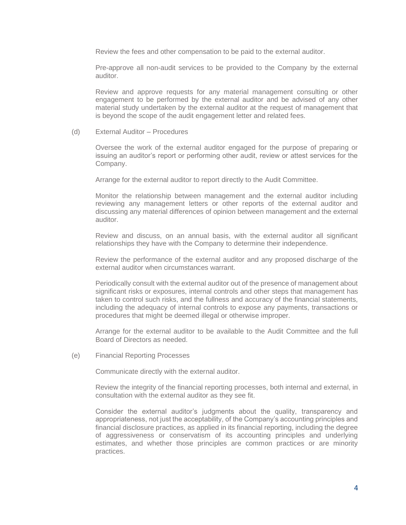Review the fees and other compensation to be paid to the external auditor.

Pre-approve all non-audit services to be provided to the Company by the external auditor.

Review and approve requests for any material management consulting or other engagement to be performed by the external auditor and be advised of any other material study undertaken by the external auditor at the request of management that is beyond the scope of the audit engagement letter and related fees.

(d) External Auditor – Procedures

Oversee the work of the external auditor engaged for the purpose of preparing or issuing an auditor's report or performing other audit, review or attest services for the Company.

Arrange for the external auditor to report directly to the Audit Committee.

Monitor the relationship between management and the external auditor including reviewing any management letters or other reports of the external auditor and discussing any material differences of opinion between management and the external auditor.

Review and discuss, on an annual basis, with the external auditor all significant relationships they have with the Company to determine their independence.

Review the performance of the external auditor and any proposed discharge of the external auditor when circumstances warrant.

Periodically consult with the external auditor out of the presence of management about significant risks or exposures, internal controls and other steps that management has taken to control such risks, and the fullness and accuracy of the financial statements, including the adequacy of internal controls to expose any payments, transactions or procedures that might be deemed illegal or otherwise improper.

Arrange for the external auditor to be available to the Audit Committee and the full Board of Directors as needed.

(e) Financial Reporting Processes

Communicate directly with the external auditor.

Review the integrity of the financial reporting processes, both internal and external, in consultation with the external auditor as they see fit.

Consider the external auditor's judgments about the quality, transparency and appropriateness, not just the acceptability, of the Company's accounting principles and financial disclosure practices, as applied in its financial reporting, including the degree of aggressiveness or conservatism of its accounting principles and underlying estimates, and whether those principles are common practices or are minority practices.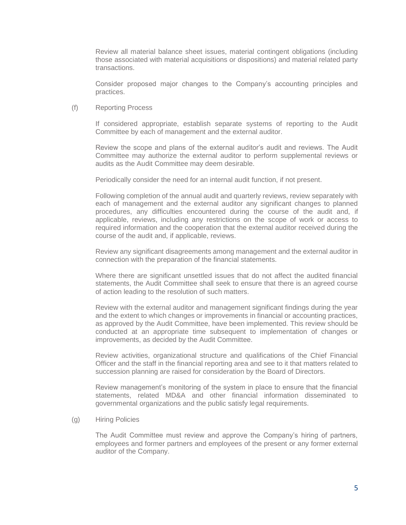Review all material balance sheet issues, material contingent obligations (including those associated with material acquisitions or dispositions) and material related party transactions.

Consider proposed major changes to the Company's accounting principles and practices.

#### (f) Reporting Process

If considered appropriate, establish separate systems of reporting to the Audit Committee by each of management and the external auditor.

Review the scope and plans of the external auditor's audit and reviews. The Audit Committee may authorize the external auditor to perform supplemental reviews or audits as the Audit Committee may deem desirable.

Periodically consider the need for an internal audit function, if not present.

Following completion of the annual audit and quarterly reviews, review separately with each of management and the external auditor any significant changes to planned procedures, any difficulties encountered during the course of the audit and, if applicable, reviews, including any restrictions on the scope of work or access to required information and the cooperation that the external auditor received during the course of the audit and, if applicable, reviews.

Review any significant disagreements among management and the external auditor in connection with the preparation of the financial statements.

Where there are significant unsettled issues that do not affect the audited financial statements, the Audit Committee shall seek to ensure that there is an agreed course of action leading to the resolution of such matters.

Review with the external auditor and management significant findings during the year and the extent to which changes or improvements in financial or accounting practices, as approved by the Audit Committee, have been implemented. This review should be conducted at an appropriate time subsequent to implementation of changes or improvements, as decided by the Audit Committee.

Review activities, organizational structure and qualifications of the Chief Financial Officer and the staff in the financial reporting area and see to it that matters related to succession planning are raised for consideration by the Board of Directors.

Review management's monitoring of the system in place to ensure that the financial statements, related MD&A and other financial information disseminated to governmental organizations and the public satisfy legal requirements.

(g) Hiring Policies

The Audit Committee must review and approve the Company's hiring of partners, employees and former partners and employees of the present or any former external auditor of the Company.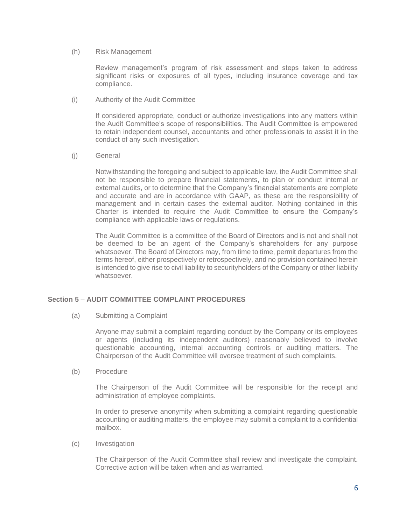(h) Risk Management

Review management's program of risk assessment and steps taken to address significant risks or exposures of all types, including insurance coverage and tax compliance.

(i) Authority of the Audit Committee

If considered appropriate, conduct or authorize investigations into any matters within the Audit Committee's scope of responsibilities. The Audit Committee is empowered to retain independent counsel, accountants and other professionals to assist it in the conduct of any such investigation.

(j) General

Notwithstanding the foregoing and subject to applicable law, the Audit Committee shall not be responsible to prepare financial statements, to plan or conduct internal or external audits, or to determine that the Company's financial statements are complete and accurate and are in accordance with GAAP, as these are the responsibility of management and in certain cases the external auditor. Nothing contained in this Charter is intended to require the Audit Committee to ensure the Company's compliance with applicable laws or regulations.

The Audit Committee is a committee of the Board of Directors and is not and shall not be deemed to be an agent of the Company's shareholders for any purpose whatsoever. The Board of Directors may, from time to time, permit departures from the terms hereof, either prospectively or retrospectively, and no provision contained herein is intended to give rise to civil liability to securityholders of the Company or other liability whatsoever.

## **Section 5** – **AUDIT COMMITTEE COMPLAINT PROCEDURES**

(a) Submitting a Complaint

Anyone may submit a complaint regarding conduct by the Company or its employees or agents (including its independent auditors) reasonably believed to involve questionable accounting, internal accounting controls or auditing matters. The Chairperson of the Audit Committee will oversee treatment of such complaints.

(b) Procedure

The Chairperson of the Audit Committee will be responsible for the receipt and administration of employee complaints.

In order to preserve anonymity when submitting a complaint regarding questionable accounting or auditing matters, the employee may submit a complaint to a confidential mailbox.

(c) Investigation

The Chairperson of the Audit Committee shall review and investigate the complaint. Corrective action will be taken when and as warranted.